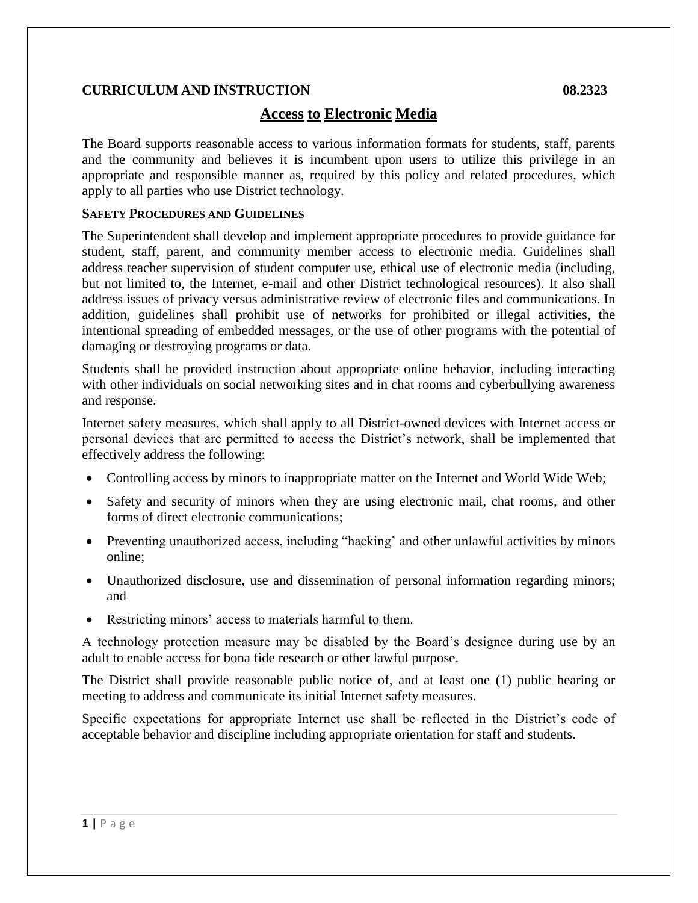# **Access to Electronic Media**

The Board supports reasonable access to various information formats for students, staff, parents and the community and believes it is incumbent upon users to utilize this privilege in an appropriate and responsible manner as, required by this policy and related procedures, which apply to all parties who use District technology.

## **SAFETY PROCEDURES AND GUIDELINES**

The Superintendent shall develop and implement appropriate procedures to provide guidance for student, staff, parent, and community member access to electronic media. Guidelines shall address teacher supervision of student computer use, ethical use of electronic media (including, but not limited to, the Internet, e-mail and other District technological resources). It also shall address issues of privacy versus administrative review of electronic files and communications. In addition, guidelines shall prohibit use of networks for prohibited or illegal activities, the intentional spreading of embedded messages, or the use of other programs with the potential of damaging or destroying programs or data.

Students shall be provided instruction about appropriate online behavior, including interacting with other individuals on social networking sites and in chat rooms and cyberbullying awareness and response.

Internet safety measures, which shall apply to all District-owned devices with Internet access or personal devices that are permitted to access the District's network, shall be implemented that effectively address the following:

- Controlling access by minors to inappropriate matter on the Internet and World Wide Web;
- Safety and security of minors when they are using electronic mail, chat rooms, and other forms of direct electronic communications;
- Preventing unauthorized access, including "hacking' and other unlawful activities by minors online;
- Unauthorized disclosure, use and dissemination of personal information regarding minors; and
- Restricting minors' access to materials harmful to them.

A technology protection measure may be disabled by the Board's designee during use by an adult to enable access for bona fide research or other lawful purpose.

The District shall provide reasonable public notice of, and at least one (1) public hearing or meeting to address and communicate its initial Internet safety measures.

Specific expectations for appropriate Internet use shall be reflected in the District's code of acceptable behavior and discipline including appropriate orientation for staff and students.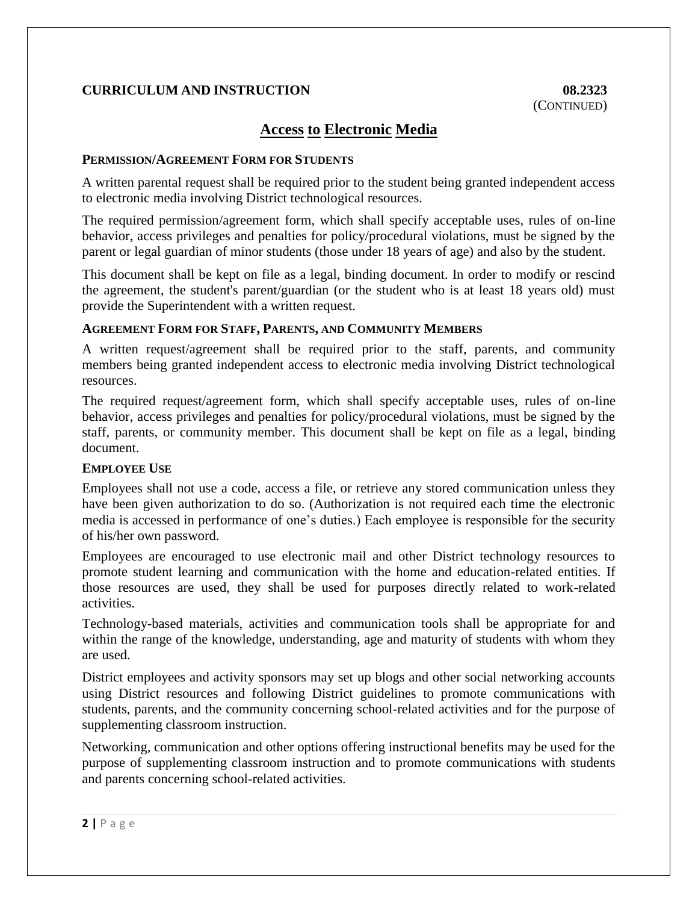# **Access to Electronic Media**

## **PERMISSION/AGREEMENT FORM FOR STUDENTS**

A written parental request shall be required prior to the student being granted independent access to electronic media involving District technological resources.

The required permission/agreement form, which shall specify acceptable uses, rules of on-line behavior, access privileges and penalties for policy/procedural violations, must be signed by the parent or legal guardian of minor students (those under 18 years of age) and also by the student.

This document shall be kept on file as a legal, binding document. In order to modify or rescind the agreement, the student's parent/guardian (or the student who is at least 18 years old) must provide the Superintendent with a written request.

## **AGREEMENT FORM FOR STAFF, PARENTS, AND COMMUNITY MEMBERS**

A written request/agreement shall be required prior to the staff, parents, and community members being granted independent access to electronic media involving District technological resources.

The required request/agreement form, which shall specify acceptable uses, rules of on-line behavior, access privileges and penalties for policy/procedural violations, must be signed by the staff, parents, or community member. This document shall be kept on file as a legal, binding document.

## **EMPLOYEE USE**

Employees shall not use a code, access a file, or retrieve any stored communication unless they have been given authorization to do so. (Authorization is not required each time the electronic media is accessed in performance of one's duties.) Each employee is responsible for the security of his/her own password.

Employees are encouraged to use electronic mail and other District technology resources to promote student learning and communication with the home and education-related entities. If those resources are used, they shall be used for purposes directly related to work-related activities.

Technology-based materials, activities and communication tools shall be appropriate for and within the range of the knowledge, understanding, age and maturity of students with whom they are used.

District employees and activity sponsors may set up blogs and other social networking accounts using District resources and following District guidelines to promote communications with students, parents, and the community concerning school-related activities and for the purpose of supplementing classroom instruction.

Networking, communication and other options offering instructional benefits may be used for the purpose of supplementing classroom instruction and to promote communications with students and parents concerning school-related activities.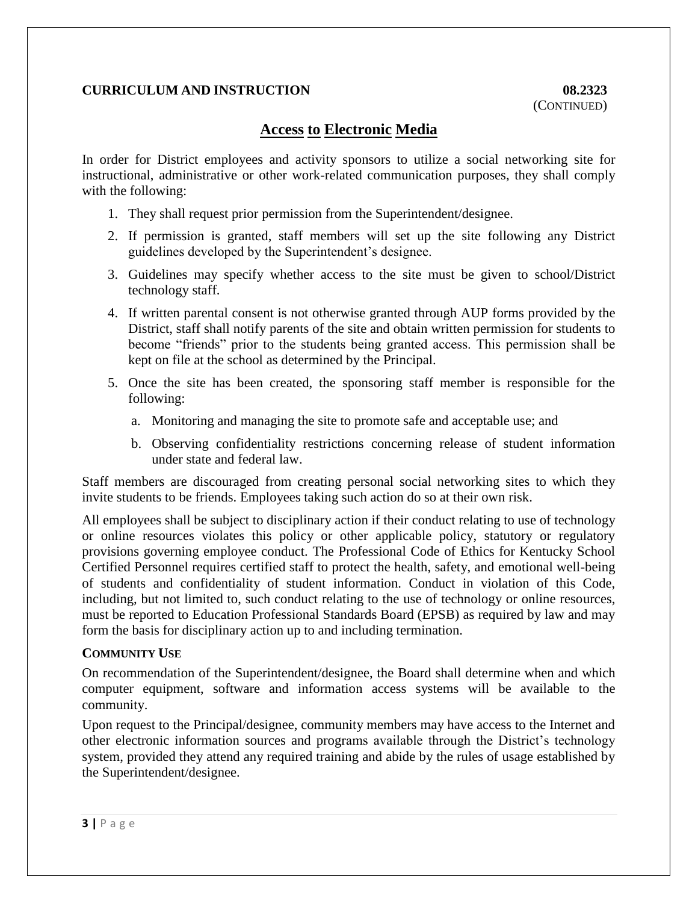# **Access to Electronic Media**

In order for District employees and activity sponsors to utilize a social networking site for instructional, administrative or other work-related communication purposes, they shall comply with the following:

- 1. They shall request prior permission from the Superintendent/designee.
- 2. If permission is granted, staff members will set up the site following any District guidelines developed by the Superintendent's designee.
- 3. Guidelines may specify whether access to the site must be given to school/District technology staff.
- 4. If written parental consent is not otherwise granted through AUP forms provided by the District, staff shall notify parents of the site and obtain written permission for students to become "friends" prior to the students being granted access. This permission shall be kept on file at the school as determined by the Principal.
- 5. Once the site has been created, the sponsoring staff member is responsible for the following:
	- a. Monitoring and managing the site to promote safe and acceptable use; and
	- b. Observing confidentiality restrictions concerning release of student information under state and federal law.

Staff members are discouraged from creating personal social networking sites to which they invite students to be friends. Employees taking such action do so at their own risk.

All employees shall be subject to disciplinary action if their conduct relating to use of technology or online resources violates this policy or other applicable policy, statutory or regulatory provisions governing employee conduct. The Professional Code of Ethics for Kentucky School Certified Personnel requires certified staff to protect the health, safety, and emotional well-being of students and confidentiality of student information. Conduct in violation of this Code, including, but not limited to, such conduct relating to the use of technology or online resources, must be reported to Education Professional Standards Board (EPSB) as required by law and may form the basis for disciplinary action up to and including termination.

## **COMMUNITY USE**

On recommendation of the Superintendent/designee, the Board shall determine when and which computer equipment, software and information access systems will be available to the community.

Upon request to the Principal/designee, community members may have access to the Internet and other electronic information sources and programs available through the District's technology system, provided they attend any required training and abide by the rules of usage established by the Superintendent/designee.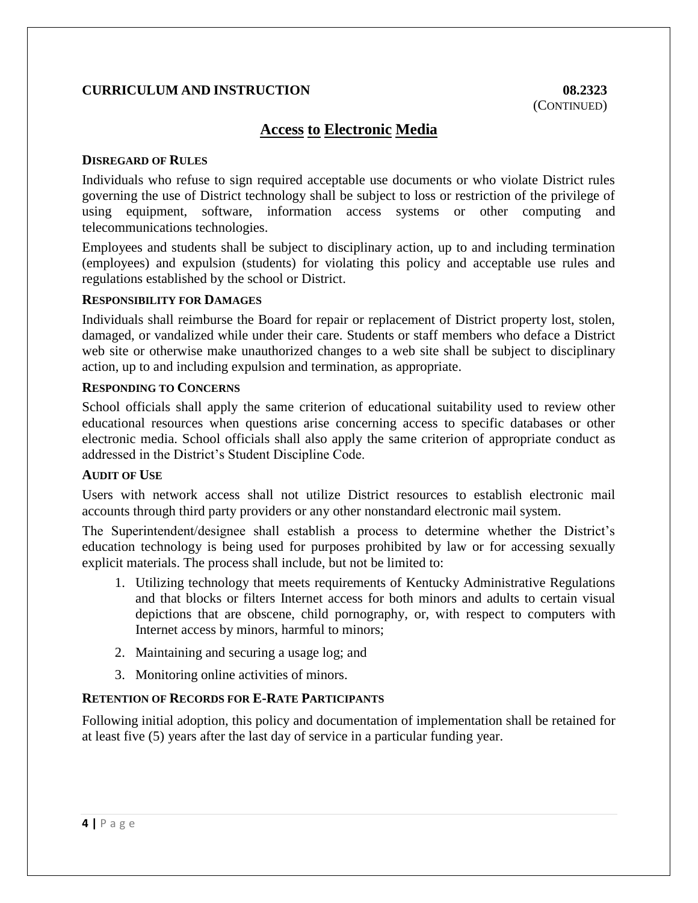# **Access to Electronic Media**

## **DISREGARD OF RULES**

Individuals who refuse to sign required acceptable use documents or who violate District rules governing the use of District technology shall be subject to loss or restriction of the privilege of using equipment, software, information access systems or other computing and telecommunications technologies.

Employees and students shall be subject to disciplinary action, up to and including termination (employees) and expulsion (students) for violating this policy and acceptable use rules and regulations established by the school or District.

## **RESPONSIBILITY FOR DAMAGES**

Individuals shall reimburse the Board for repair or replacement of District property lost, stolen, damaged, or vandalized while under their care. Students or staff members who deface a District web site or otherwise make unauthorized changes to a web site shall be subject to disciplinary action, up to and including expulsion and termination, as appropriate.

## **RESPONDING TO CONCERNS**

School officials shall apply the same criterion of educational suitability used to review other educational resources when questions arise concerning access to specific databases or other electronic media. School officials shall also apply the same criterion of appropriate conduct as addressed in the District's Student Discipline Code.

#### **AUDIT OF USE**

Users with network access shall not utilize District resources to establish electronic mail accounts through third party providers or any other nonstandard electronic mail system.

The Superintendent/designee shall establish a process to determine whether the District's education technology is being used for purposes prohibited by law or for accessing sexually explicit materials. The process shall include, but not be limited to:

- 1. Utilizing technology that meets requirements of Kentucky Administrative Regulations and that blocks or filters Internet access for both minors and adults to certain visual depictions that are obscene, child pornography, or, with respect to computers with Internet access by minors, harmful to minors;
- 2. Maintaining and securing a usage log; and
- 3. Monitoring online activities of minors.

## **RETENTION OF RECORDS FOR E-RATE PARTICIPANTS**

Following initial adoption, this policy and documentation of implementation shall be retained for at least five (5) years after the last day of service in a particular funding year.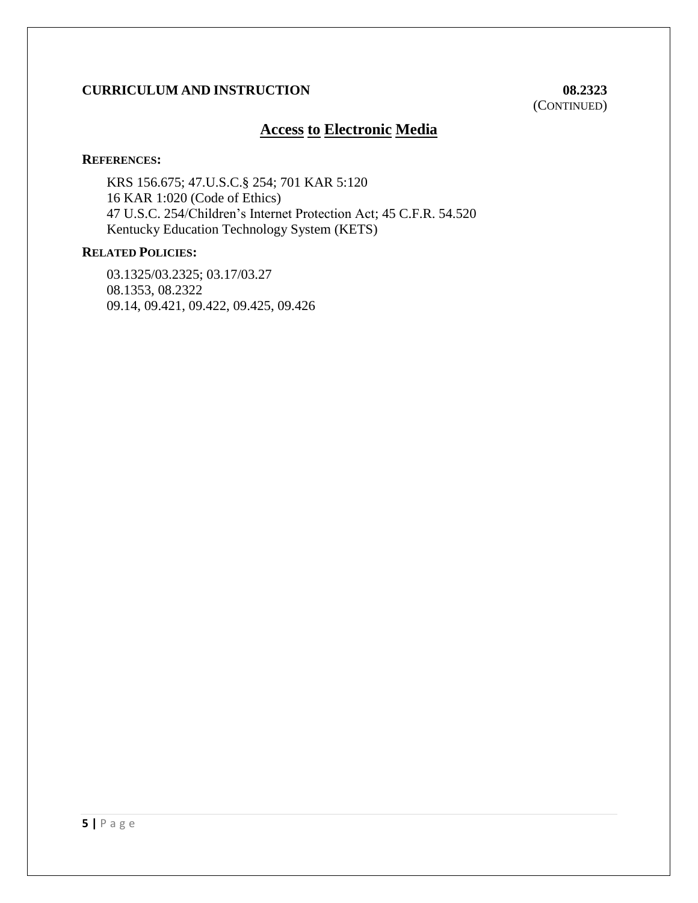(CONTINUED)

# **Access to Electronic Media**

#### **REFERENCES:**

KRS 156.675; 47.U.S.C.§ 254; 701 KAR 5:120 [16 KAR 1:020](file:///C:/documentmanager.asp%3frequestarticle=/kar/016/001/020.htm&requesttype=kar) (Code of Ethics) 47 U.S.C. 254/Children's Internet Protection Act; 45 C.F.R. 54.520 Kentucky Education Technology System (KETS)

## **RELATED POLICIES:**

03.1325/03.2325; 03.17/03.27 08.1353, 08.2322 09.14, 09.421, 09.422, 09.425, 09.426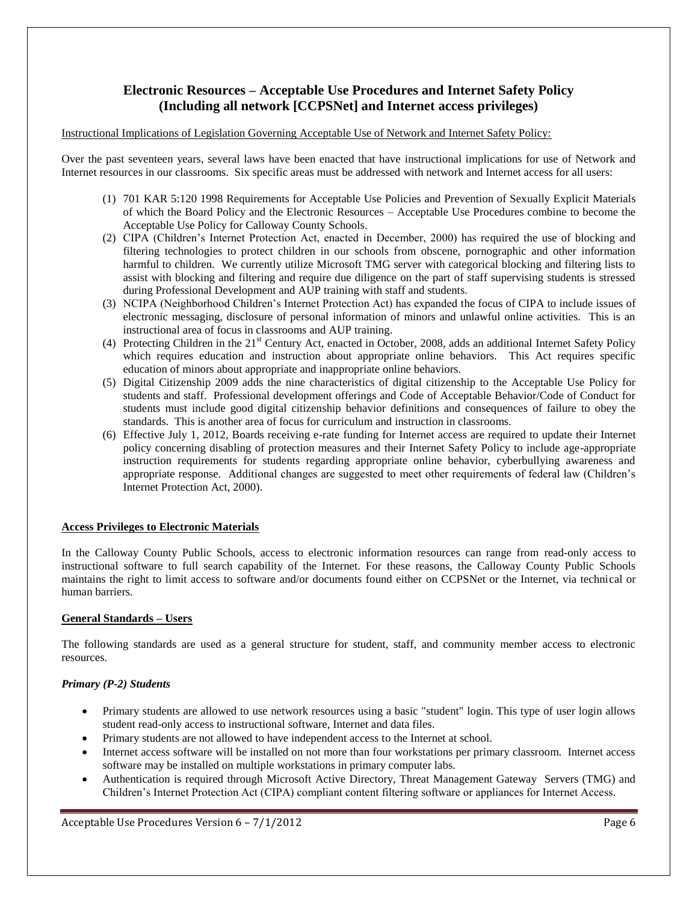## **Electronic Resources – Acceptable Use Procedures and Internet Safety Policy (Including all network [CCPSNet] and Internet access privileges)**

#### Instructional Implications of Legislation Governing Acceptable Use of Network and Internet Safety Policy:

Over the past seventeen years, several laws have been enacted that have instructional implications for use of Network and Internet resources in our classrooms. Six specific areas must be addressed with network and Internet access for all users:

- (1) 701 KAR 5:120 1998 Requirements for Acceptable Use Policies and Prevention of Sexually Explicit Materials of which the Board Policy and the Electronic Resources – Acceptable Use Procedures combine to become the Acceptable Use Policy for Calloway County Schools.
- (2) CIPA (Children's Internet Protection Act, enacted in December, 2000) has required the use of blocking and filtering technologies to protect children in our schools from obscene, pornographic and other information harmful to children. We currently utilize Microsoft TMG server with categorical blocking and filtering lists to assist with blocking and filtering and require due diligence on the part of staff supervising students is stressed during Professional Development and AUP training with staff and students.
- (3) NCIPA (Neighborhood Children's Internet Protection Act) has expanded the focus of CIPA to include issues of electronic messaging, disclosure of personal information of minors and unlawful online activities. This is an instructional area of focus in classrooms and AUP training.
- (4) Protecting Children in the 21<sup>st</sup> Century Act, enacted in October, 2008, adds an additional Internet Safety Policy which requires education and instruction about appropriate online behaviors. This Act requires specific education of minors about appropriate and inappropriate online behaviors.
- (5) Digital Citizenship 2009 adds the nine characteristics of digital citizenship to the Acceptable Use Policy for students and staff. Professional development offerings and Code of Acceptable Behavior/Code of Conduct for students must include good digital citizenship behavior definitions and consequences of failure to obey the standards. This is another area of focus for curriculum and instruction in classrooms.
- (6) Effective July 1, 2012, Boards receiving e-rate funding for Internet access are required to update their Internet policy concerning disabling of protection measures and their Internet Safety Policy to include age-appropriate instruction requirements for students regarding appropriate online behavior, cyberbullying awareness and appropriate response. Additional changes are suggested to meet other requirements of federal law (Children's Internet Protection Act, 2000).

#### **Access Privileges to Electronic Materials**

In the Calloway County Public Schools, access to electronic information resources can range from read-only access to instructional software to full search capability of the Internet. For these reasons, the Calloway County Public Schools maintains the right to limit access to software and/or documents found either on CCPSNet or the Internet, via technical or human barriers.

#### **General Standards – Users**

The following standards are used as a general structure for student, staff, and community member access to electronic resources.

#### *Primary (P-2) Students*

- Primary students are allowed to use network resources using a basic "student" login. This type of user login allows student read-only access to instructional software, Internet and data files.
- Primary students are not allowed to have independent access to the Internet at school.
- Internet access software will be installed on not more than four workstations per primary classroom. Internet access software may be installed on multiple workstations in primary computer labs.
- Authentication is required through Microsoft Active Directory, Threat Management Gateway Servers (TMG) and Children's Internet Protection Act (CIPA) compliant content filtering software or appliances for Internet Access.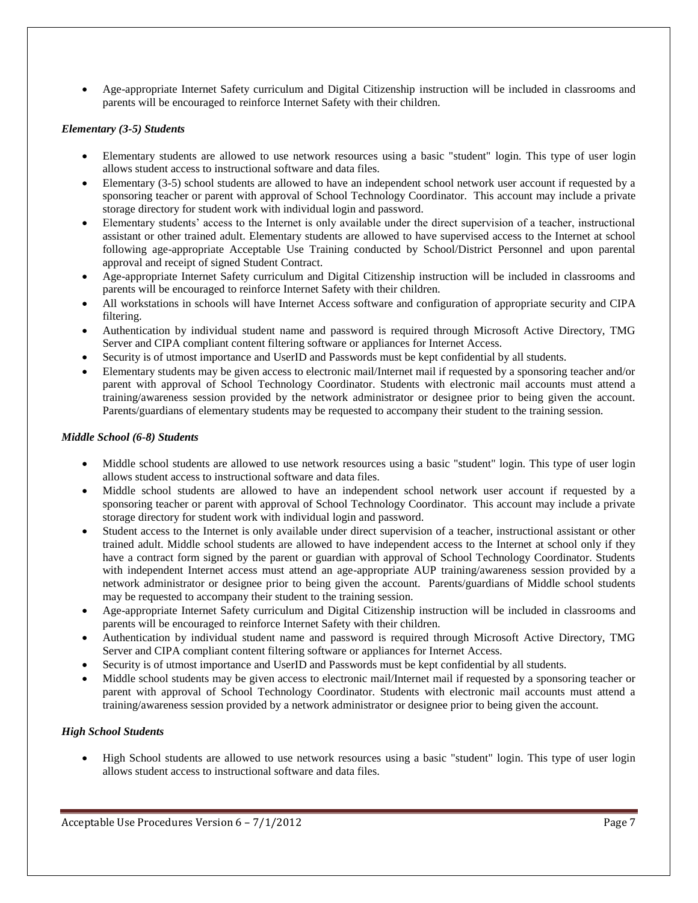Age-appropriate Internet Safety curriculum and Digital Citizenship instruction will be included in classrooms and parents will be encouraged to reinforce Internet Safety with their children.

#### *Elementary (3-5) Students*

- Elementary students are allowed to use network resources using a basic "student" login. This type of user login allows student access to instructional software and data files.
- Elementary (3-5) school students are allowed to have an independent school network user account if requested by a sponsoring teacher or parent with approval of School Technology Coordinator. This account may include a private storage directory for student work with individual login and password.
- Elementary students' access to the Internet is only available under the direct supervision of a teacher, instructional assistant or other trained adult. Elementary students are allowed to have supervised access to the Internet at school following age-appropriate Acceptable Use Training conducted by School/District Personnel and upon parental approval and receipt of signed Student Contract.
- Age-appropriate Internet Safety curriculum and Digital Citizenship instruction will be included in classrooms and parents will be encouraged to reinforce Internet Safety with their children.
- All workstations in schools will have Internet Access software and configuration of appropriate security and CIPA filtering.
- Authentication by individual student name and password is required through Microsoft Active Directory, TMG Server and CIPA compliant content filtering software or appliances for Internet Access.
- Security is of utmost importance and UserID and Passwords must be kept confidential by all students.
- Elementary students may be given access to electronic mail/Internet mail if requested by a sponsoring teacher and/or parent with approval of School Technology Coordinator. Students with electronic mail accounts must attend a training/awareness session provided by the network administrator or designee prior to being given the account. Parents/guardians of elementary students may be requested to accompany their student to the training session.

#### *Middle School (6-8) Students*

- Middle school students are allowed to use network resources using a basic "student" login. This type of user login allows student access to instructional software and data files.
- Middle school students are allowed to have an independent school network user account if requested by a sponsoring teacher or parent with approval of School Technology Coordinator. This account may include a private storage directory for student work with individual login and password.
- Student access to the Internet is only available under direct supervision of a teacher, instructional assistant or other trained adult. Middle school students are allowed to have independent access to the Internet at school only if they have a contract form signed by the parent or guardian with approval of School Technology Coordinator. Students with independent Internet access must attend an age-appropriate AUP training/awareness session provided by a network administrator or designee prior to being given the account. Parents/guardians of Middle school students may be requested to accompany their student to the training session.
- Age-appropriate Internet Safety curriculum and Digital Citizenship instruction will be included in classrooms and parents will be encouraged to reinforce Internet Safety with their children.
- Authentication by individual student name and password is required through Microsoft Active Directory, TMG Server and CIPA compliant content filtering software or appliances for Internet Access.
- Security is of utmost importance and UserID and Passwords must be kept confidential by all students.
- Middle school students may be given access to electronic mail/Internet mail if requested by a sponsoring teacher or parent with approval of School Technology Coordinator. Students with electronic mail accounts must attend a training/awareness session provided by a network administrator or designee prior to being given the account.

#### *High School Students*

 High School students are allowed to use network resources using a basic "student" login. This type of user login allows student access to instructional software and data files.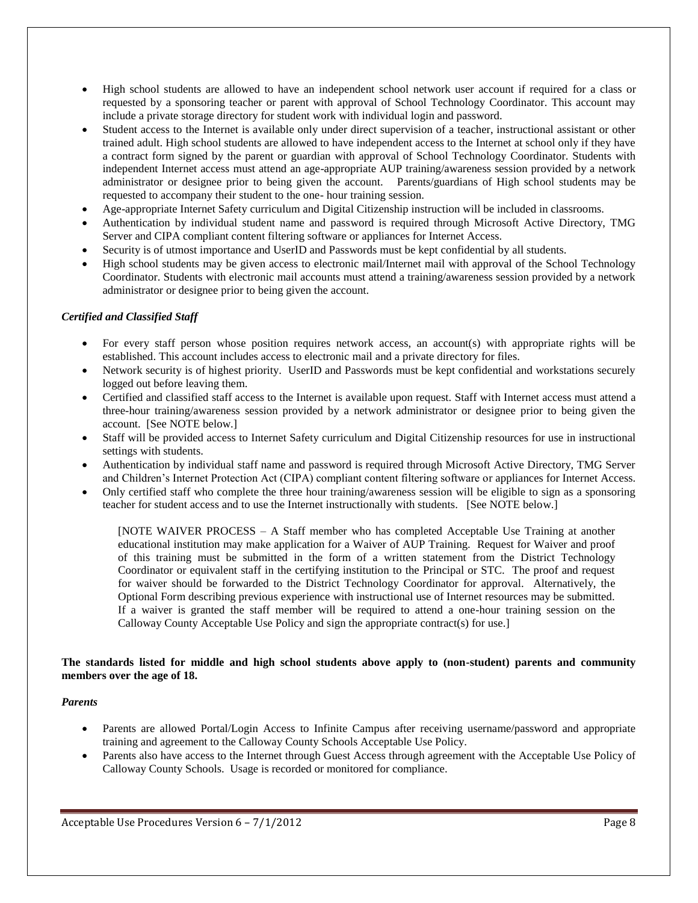- High school students are allowed to have an independent school network user account if required for a class or requested by a sponsoring teacher or parent with approval of School Technology Coordinator. This account may include a private storage directory for student work with individual login and password.
- Student access to the Internet is available only under direct supervision of a teacher, instructional assistant or other trained adult. High school students are allowed to have independent access to the Internet at school only if they have a contract form signed by the parent or guardian with approval of School Technology Coordinator. Students with independent Internet access must attend an age-appropriate AUP training/awareness session provided by a network administrator or designee prior to being given the account. Parents/guardians of High school students may be requested to accompany their student to the one- hour training session.
- Age-appropriate Internet Safety curriculum and Digital Citizenship instruction will be included in classrooms.
- Authentication by individual student name and password is required through Microsoft Active Directory, TMG Server and CIPA compliant content filtering software or appliances for Internet Access.
- Security is of utmost importance and UserID and Passwords must be kept confidential by all students.
- High school students may be given access to electronic mail/Internet mail with approval of the School Technology Coordinator. Students with electronic mail accounts must attend a training/awareness session provided by a network administrator or designee prior to being given the account.

#### *Certified and Classified Staff*

- For every staff person whose position requires network access, an account(s) with appropriate rights will be established. This account includes access to electronic mail and a private directory for files.
- Network security is of highest priority. UserID and Passwords must be kept confidential and workstations securely logged out before leaving them.
- Certified and classified staff access to the Internet is available upon request. Staff with Internet access must attend a three-hour training/awareness session provided by a network administrator or designee prior to being given the account. [See NOTE below.]
- Staff will be provided access to Internet Safety curriculum and Digital Citizenship resources for use in instructional settings with students.
- Authentication by individual staff name and password is required through Microsoft Active Directory, TMG Server and Children's Internet Protection Act (CIPA) compliant content filtering software or appliances for Internet Access.
- Only certified staff who complete the three hour training/awareness session will be eligible to sign as a sponsoring teacher for student access and to use the Internet instructionally with students. [See NOTE below.]

[NOTE WAIVER PROCESS – A Staff member who has completed Acceptable Use Training at another educational institution may make application for a Waiver of AUP Training. Request for Waiver and proof of this training must be submitted in the form of a written statement from the District Technology Coordinator or equivalent staff in the certifying institution to the Principal or STC. The proof and request for waiver should be forwarded to the District Technology Coordinator for approval. Alternatively, the Optional Form describing previous experience with instructional use of Internet resources may be submitted. If a waiver is granted the staff member will be required to attend a one-hour training session on the Calloway County Acceptable Use Policy and sign the appropriate contract(s) for use.]

#### **The standards listed for middle and high school students above apply to (non-student) parents and community members over the age of 18.**

#### *Parents*

- Parents are allowed Portal/Login Access to Infinite Campus after receiving username/password and appropriate training and agreement to the Calloway County Schools Acceptable Use Policy.
- Parents also have access to the Internet through Guest Access through agreement with the Acceptable Use Policy of Calloway County Schools. Usage is recorded or monitored for compliance.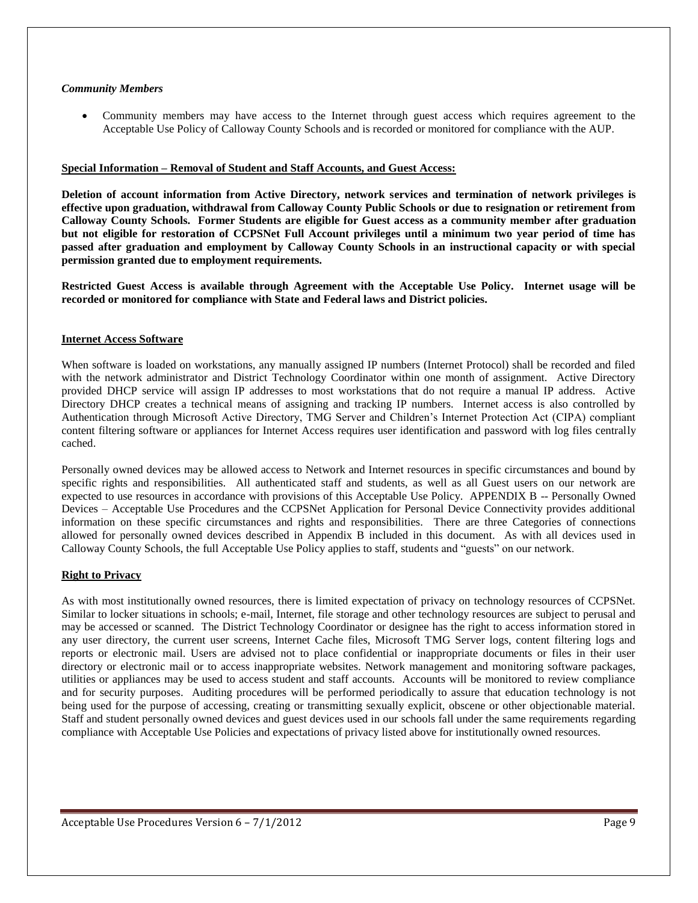#### *Community Members*

 Community members may have access to the Internet through guest access which requires agreement to the Acceptable Use Policy of Calloway County Schools and is recorded or monitored for compliance with the AUP.

#### **Special Information – Removal of Student and Staff Accounts, and Guest Access:**

**Deletion of account information from Active Directory, network services and termination of network privileges is effective upon graduation, withdrawal from Calloway County Public Schools or due to resignation or retirement from Calloway County Schools. Former Students are eligible for Guest access as a community member after graduation but not eligible for restoration of CCPSNet Full Account privileges until a minimum two year period of time has passed after graduation and employment by Calloway County Schools in an instructional capacity or with special permission granted due to employment requirements.**

**Restricted Guest Access is available through Agreement with the Acceptable Use Policy. Internet usage will be recorded or monitored for compliance with State and Federal laws and District policies.**

#### **Internet Access Software**

When software is loaded on workstations, any manually assigned IP numbers (Internet Protocol) shall be recorded and filed with the network administrator and District Technology Coordinator within one month of assignment. Active Directory provided DHCP service will assign IP addresses to most workstations that do not require a manual IP address. Active Directory DHCP creates a technical means of assigning and tracking IP numbers. Internet access is also controlled by Authentication through Microsoft Active Directory, TMG Server and Children's Internet Protection Act (CIPA) compliant content filtering software or appliances for Internet Access requires user identification and password with log files centrally cached.

Personally owned devices may be allowed access to Network and Internet resources in specific circumstances and bound by specific rights and responsibilities. All authenticated staff and students, as well as all Guest users on our network are expected to use resources in accordance with provisions of this Acceptable Use Policy. APPENDIX B -- Personally Owned Devices – Acceptable Use Procedures and the CCPSNet Application for Personal Device Connectivity provides additional information on these specific circumstances and rights and responsibilities. There are three Categories of connections allowed for personally owned devices described in Appendix B included in this document. As with all devices used in Calloway County Schools, the full Acceptable Use Policy applies to staff, students and "guests" on our network.

#### **Right to Privacy**

As with most institutionally owned resources, there is limited expectation of privacy on technology resources of CCPSNet. Similar to locker situations in schools; e-mail, Internet, file storage and other technology resources are subject to perusal and may be accessed or scanned. The District Technology Coordinator or designee has the right to access information stored in any user directory, the current user screens, Internet Cache files, Microsoft TMG Server logs, content filtering logs and reports or electronic mail. Users are advised not to place confidential or inappropriate documents or files in their user directory or electronic mail or to access inappropriate websites. Network management and monitoring software packages, utilities or appliances may be used to access student and staff accounts. Accounts will be monitored to review compliance and for security purposes. Auditing procedures will be performed periodically to assure that education technology is not being used for the purpose of accessing, creating or transmitting sexually explicit, obscene or other objectionable material. Staff and student personally owned devices and guest devices used in our schools fall under the same requirements regarding compliance with Acceptable Use Policies and expectations of privacy listed above for institutionally owned resources.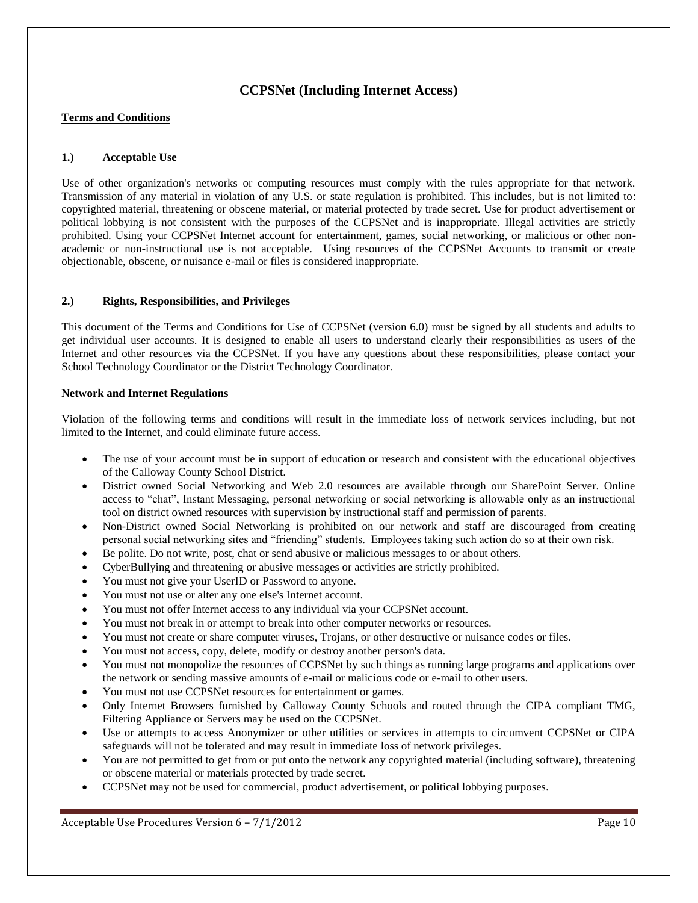## **CCPSNet (Including Internet Access)**

#### **Terms and Conditions**

#### **1.) Acceptable Use**

Use of other organization's networks or computing resources must comply with the rules appropriate for that network. Transmission of any material in violation of any U.S. or state regulation is prohibited. This includes, but is not limited to: copyrighted material, threatening or obscene material, or material protected by trade secret. Use for product advertisement or political lobbying is not consistent with the purposes of the CCPSNet and is inappropriate. Illegal activities are strictly prohibited. Using your CCPSNet Internet account for entertainment, games, social networking, or malicious or other nonacademic or non-instructional use is not acceptable. Using resources of the CCPSNet Accounts to transmit or create objectionable, obscene, or nuisance e-mail or files is considered inappropriate.

#### **2.) Rights, Responsibilities, and Privileges**

This document of the Terms and Conditions for Use of CCPSNet (version 6.0) must be signed by all students and adults to get individual user accounts. It is designed to enable all users to understand clearly their responsibilities as users of the Internet and other resources via the CCPSNet. If you have any questions about these responsibilities, please contact your School Technology Coordinator or the District Technology Coordinator.

#### **Network and Internet Regulations**

Violation of the following terms and conditions will result in the immediate loss of network services including, but not limited to the Internet, and could eliminate future access.

- The use of your account must be in support of education or research and consistent with the educational objectives of the Calloway County School District.
- District owned Social Networking and Web 2.0 resources are available through our SharePoint Server. Online access to "chat", Instant Messaging, personal networking or social networking is allowable only as an instructional tool on district owned resources with supervision by instructional staff and permission of parents.
- Non-District owned Social Networking is prohibited on our network and staff are discouraged from creating personal social networking sites and "friending" students. Employees taking such action do so at their own risk.
- Be polite. Do not write, post, chat or send abusive or malicious messages to or about others.
- CyberBullying and threatening or abusive messages or activities are strictly prohibited.
- You must not give your UserID or Password to anyone.
- You must not use or alter any one else's Internet account.
- You must not offer Internet access to any individual via your CCPSNet account.
- You must not break in or attempt to break into other computer networks or resources.
- You must not create or share computer viruses, Trojans, or other destructive or nuisance codes or files.
- You must not access, copy, delete, modify or destroy another person's data.
- You must not monopolize the resources of CCPSNet by such things as running large programs and applications over the network or sending massive amounts of e-mail or malicious code or e-mail to other users.
- You must not use CCPSNet resources for entertainment or games.
- Only Internet Browsers furnished by Calloway County Schools and routed through the CIPA compliant TMG, Filtering Appliance or Servers may be used on the CCPSNet.
- Use or attempts to access Anonymizer or other utilities or services in attempts to circumvent CCPSNet or CIPA safeguards will not be tolerated and may result in immediate loss of network privileges.
- You are not permitted to get from or put onto the network any copyrighted material (including software), threatening or obscene material or materials protected by trade secret.
- CCPSNet may not be used for commercial, product advertisement, or political lobbying purposes.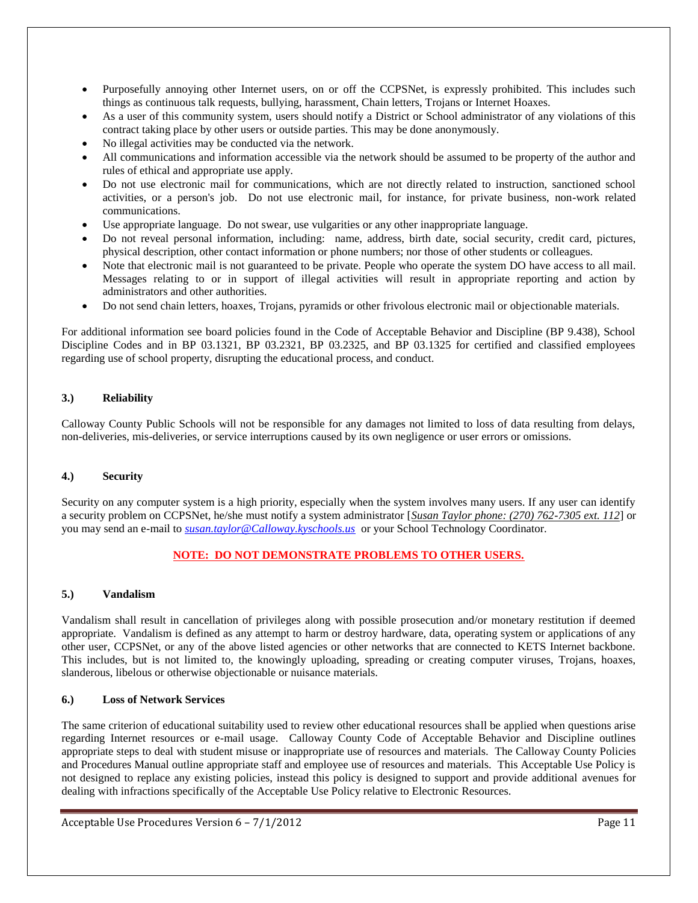- Purposefully annoying other Internet users, on or off the CCPSNet, is expressly prohibited. This includes such things as continuous talk requests, bullying, harassment, Chain letters, Trojans or Internet Hoaxes.
- As a user of this community system, users should notify a District or School administrator of any violations of this contract taking place by other users or outside parties. This may be done anonymously.
- No illegal activities may be conducted via the network.
- All communications and information accessible via the network should be assumed to be property of the author and rules of ethical and appropriate use apply.
- Do not use electronic mail for communications, which are not directly related to instruction, sanctioned school activities, or a person's job. Do not use electronic mail, for instance, for private business, non-work related communications.
- Use appropriate language. Do not swear, use vulgarities or any other inappropriate language.
- Do not reveal personal information, including: name, address, birth date, social security, credit card, pictures, physical description, other contact information or phone numbers; nor those of other students or colleagues.
- Note that electronic mail is not guaranteed to be private. People who operate the system DO have access to all mail. Messages relating to or in support of illegal activities will result in appropriate reporting and action by administrators and other authorities.
- Do not send chain letters, hoaxes, Trojans, pyramids or other frivolous electronic mail or objectionable materials.

For additional information see board policies found in the Code of Acceptable Behavior and Discipline (BP 9.438), School Discipline Codes and in BP 03.1321, BP 03.2321, BP 03.2325, and BP 03.1325 for certified and classified employees regarding use of school property, disrupting the educational process, and conduct.

#### **3.) Reliability**

Calloway County Public Schools will not be responsible for any damages not limited to loss of data resulting from delays, non-deliveries, mis-deliveries, or service interruptions caused by its own negligence or user errors or omissions.

#### **4.) Security**

Security on any computer system is a high priority, especially when the system involves many users. If any user can identify a security problem on CCPSNet, he/she must notify a system administrator [*Susan Taylor phone: (270) 762-7305 ext. 112*] or you may send an e-mail to *[susan.taylor@Calloway.kyschools.us](mailto:susan.taylor@Calloway.kyschools.us)* or your School Technology Coordinator.

#### **NOTE: DO NOT DEMONSTRATE PROBLEMS TO OTHER USERS.**

#### **5.) Vandalism**

Vandalism shall result in cancellation of privileges along with possible prosecution and/or monetary restitution if deemed appropriate. Vandalism is defined as any attempt to harm or destroy hardware, data, operating system or applications of any other user, CCPSNet, or any of the above listed agencies or other networks that are connected to KETS Internet backbone. This includes, but is not limited to, the knowingly uploading, spreading or creating computer viruses, Trojans, hoaxes, slanderous, libelous or otherwise objectionable or nuisance materials.

#### **6.) Loss of Network Services**

The same criterion of educational suitability used to review other educational resources shall be applied when questions arise regarding Internet resources or e-mail usage. Calloway County Code of Acceptable Behavior and Discipline outlines appropriate steps to deal with student misuse or inappropriate use of resources and materials. The Calloway County Policies and Procedures Manual outline appropriate staff and employee use of resources and materials. This Acceptable Use Policy is not designed to replace any existing policies, instead this policy is designed to support and provide additional avenues for dealing with infractions specifically of the Acceptable Use Policy relative to Electronic Resources.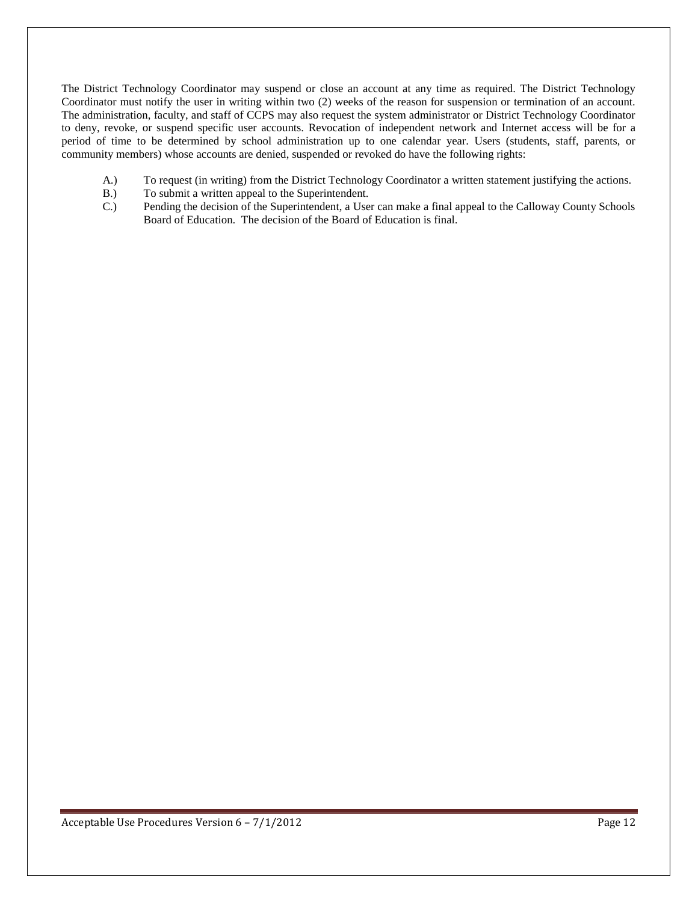The District Technology Coordinator may suspend or close an account at any time as required. The District Technology Coordinator must notify the user in writing within two (2) weeks of the reason for suspension or termination of an account. The administration, faculty, and staff of CCPS may also request the system administrator or District Technology Coordinator to deny, revoke, or suspend specific user accounts. Revocation of independent network and Internet access will be for a period of time to be determined by school administration up to one calendar year. Users (students, staff, parents, or community members) whose accounts are denied, suspended or revoked do have the following rights:

- A.) To request (in writing) from the District Technology Coordinator a written statement justifying the actions.
- B.) To submit a written appeal to the Superintendent.
- C.) Pending the decision of the Superintendent, a User can make a final appeal to the Calloway County Schools Board of Education. The decision of the Board of Education is final.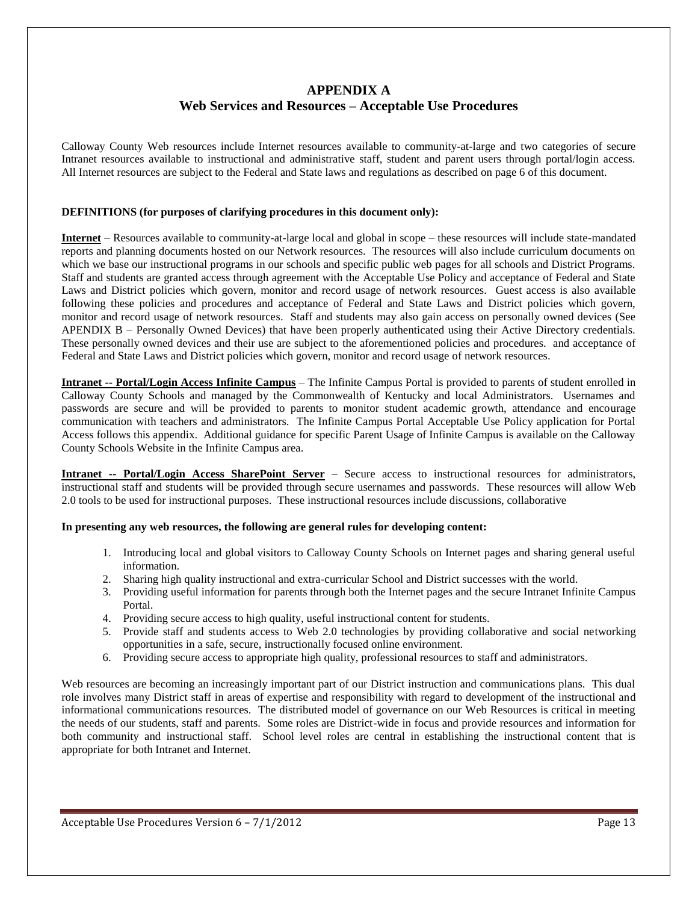## **APPENDIX A Web Services and Resources – Acceptable Use Procedures**

Calloway County Web resources include Internet resources available to community-at-large and two categories of secure Intranet resources available to instructional and administrative staff, student and parent users through portal/login access. All Internet resources are subject to the Federal and State laws and regulations as described on page 6 of this document.

#### **DEFINITIONS (for purposes of clarifying procedures in this document only):**

**Internet** – Resources available to community-at-large local and global in scope – these resources will include state-mandated reports and planning documents hosted on our Network resources. The resources will also include curriculum documents on which we base our instructional programs in our schools and specific public web pages for all schools and District Programs. Staff and students are granted access through agreement with the Acceptable Use Policy and acceptance of Federal and State Laws and District policies which govern, monitor and record usage of network resources. Guest access is also available following these policies and procedures and acceptance of Federal and State Laws and District policies which govern, monitor and record usage of network resources. Staff and students may also gain access on personally owned devices (See APENDIX B – Personally Owned Devices) that have been properly authenticated using their Active Directory credentials. These personally owned devices and their use are subject to the aforementioned policies and procedures. and acceptance of Federal and State Laws and District policies which govern, monitor and record usage of network resources.

**Intranet -- Portal/Login Access Infinite Campus** – The Infinite Campus Portal is provided to parents of student enrolled in Calloway County Schools and managed by the Commonwealth of Kentucky and local Administrators. Usernames and passwords are secure and will be provided to parents to monitor student academic growth, attendance and encourage communication with teachers and administrators. The Infinite Campus Portal Acceptable Use Policy application for Portal Access follows this appendix. Additional guidance for specific Parent Usage of Infinite Campus is available on the Calloway County Schools Website in the Infinite Campus area.

**Intranet -- Portal/Login Access SharePoint Server** – Secure access to instructional resources for administrators, instructional staff and students will be provided through secure usernames and passwords. These resources will allow Web 2.0 tools to be used for instructional purposes. These instructional resources include discussions, collaborative

#### **In presenting any web resources, the following are general rules for developing content:**

- 1. Introducing local and global visitors to Calloway County Schools on Internet pages and sharing general useful information.
- 2. Sharing high quality instructional and extra-curricular School and District successes with the world.
- 3. Providing useful information for parents through both the Internet pages and the secure Intranet Infinite Campus Portal.
- 4. Providing secure access to high quality, useful instructional content for students.
- 5. Provide staff and students access to Web 2.0 technologies by providing collaborative and social networking opportunities in a safe, secure, instructionally focused online environment.
- 6. Providing secure access to appropriate high quality, professional resources to staff and administrators.

Web resources are becoming an increasingly important part of our District instruction and communications plans. This dual role involves many District staff in areas of expertise and responsibility with regard to development of the instructional and informational communications resources. The distributed model of governance on our Web Resources is critical in meeting the needs of our students, staff and parents. Some roles are District-wide in focus and provide resources and information for both community and instructional staff. School level roles are central in establishing the instructional content that is appropriate for both Intranet and Internet.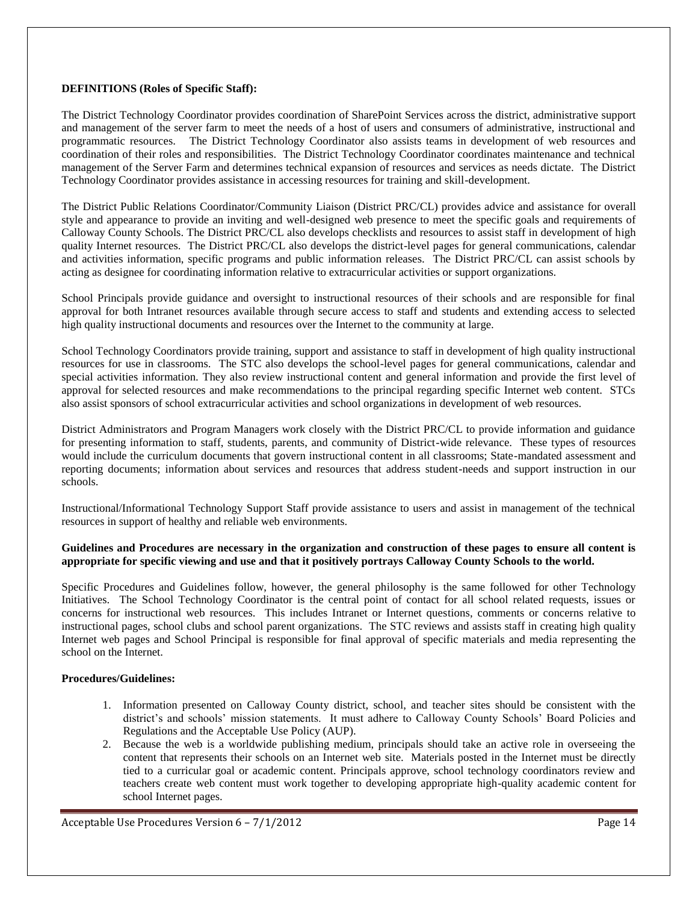#### **DEFINITIONS (Roles of Specific Staff):**

The District Technology Coordinator provides coordination of SharePoint Services across the district, administrative support and management of the server farm to meet the needs of a host of users and consumers of administrative, instructional and programmatic resources. The District Technology Coordinator also assists teams in development of web resources and coordination of their roles and responsibilities. The District Technology Coordinator coordinates maintenance and technical management of the Server Farm and determines technical expansion of resources and services as needs dictate. The District Technology Coordinator provides assistance in accessing resources for training and skill-development.

The District Public Relations Coordinator/Community Liaison (District PRC/CL) provides advice and assistance for overall style and appearance to provide an inviting and well-designed web presence to meet the specific goals and requirements of Calloway County Schools. The District PRC/CL also develops checklists and resources to assist staff in development of high quality Internet resources. The District PRC/CL also develops the district-level pages for general communications, calendar and activities information, specific programs and public information releases. The District PRC/CL can assist schools by acting as designee for coordinating information relative to extracurricular activities or support organizations.

School Principals provide guidance and oversight to instructional resources of their schools and are responsible for final approval for both Intranet resources available through secure access to staff and students and extending access to selected high quality instructional documents and resources over the Internet to the community at large.

School Technology Coordinators provide training, support and assistance to staff in development of high quality instructional resources for use in classrooms. The STC also develops the school-level pages for general communications, calendar and special activities information. They also review instructional content and general information and provide the first level of approval for selected resources and make recommendations to the principal regarding specific Internet web content. STCs also assist sponsors of school extracurricular activities and school organizations in development of web resources.

District Administrators and Program Managers work closely with the District PRC/CL to provide information and guidance for presenting information to staff, students, parents, and community of District-wide relevance. These types of resources would include the curriculum documents that govern instructional content in all classrooms; State-mandated assessment and reporting documents; information about services and resources that address student-needs and support instruction in our schools.

Instructional/Informational Technology Support Staff provide assistance to users and assist in management of the technical resources in support of healthy and reliable web environments.

#### **Guidelines and Procedures are necessary in the organization and construction of these pages to ensure all content is appropriate for specific viewing and use and that it positively portrays Calloway County Schools to the world.**

Specific Procedures and Guidelines follow, however, the general philosophy is the same followed for other Technology Initiatives. The School Technology Coordinator is the central point of contact for all school related requests, issues or concerns for instructional web resources. This includes Intranet or Internet questions, comments or concerns relative to instructional pages, school clubs and school parent organizations. The STC reviews and assists staff in creating high quality Internet web pages and School Principal is responsible for final approval of specific materials and media representing the school on the Internet.

#### **Procedures/Guidelines:**

- 1. Information presented on Calloway County district, school, and teacher sites should be consistent with the district's and schools' mission statements. It must adhere to Calloway County Schools' Board Policies and Regulations and the Acceptable Use Policy (AUP).
- 2. Because the web is a worldwide publishing medium, principals should take an active role in overseeing the content that represents their schools on an Internet web site. Materials posted in the Internet must be directly tied to a curricular goal or academic content. Principals approve, school technology coordinators review and teachers create web content must work together to developing appropriate high-quality academic content for school Internet pages.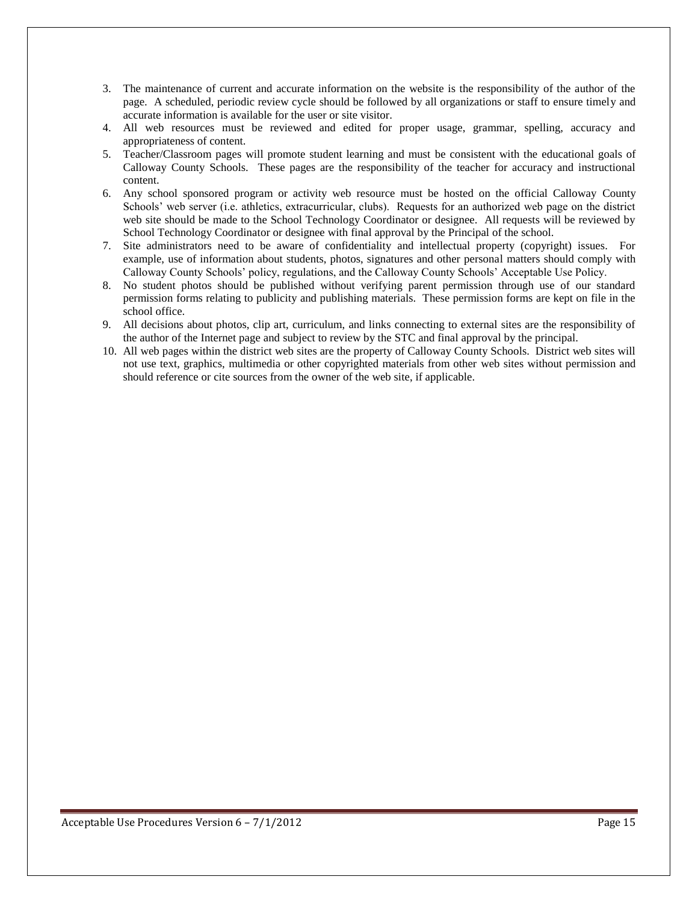- 3. The maintenance of current and accurate information on the website is the responsibility of the author of the page. A scheduled, periodic review cycle should be followed by all organizations or staff to ensure timely and accurate information is available for the user or site visitor.
- 4. All web resources must be reviewed and edited for proper usage, grammar, spelling, accuracy and appropriateness of content.
- 5. Teacher/Classroom pages will promote student learning and must be consistent with the educational goals of Calloway County Schools. These pages are the responsibility of the teacher for accuracy and instructional content.
- 6. Any school sponsored program or activity web resource must be hosted on the official Calloway County Schools' web server (i.e. athletics, extracurricular, clubs). Requests for an authorized web page on the district web site should be made to the School Technology Coordinator or designee. All requests will be reviewed by School Technology Coordinator or designee with final approval by the Principal of the school.
- 7. Site administrators need to be aware of confidentiality and intellectual property (copyright) issues. For example, use of information about students, photos, signatures and other personal matters should comply with Calloway County Schools' policy, regulations, and the Calloway County Schools' Acceptable Use Policy.
- 8. No student photos should be published without verifying parent permission through use of our standard permission forms relating to publicity and publishing materials. These permission forms are kept on file in the school office.
- 9. All decisions about photos, clip art, curriculum, and links connecting to external sites are the responsibility of the author of the Internet page and subject to review by the STC and final approval by the principal.
- 10. All web pages within the district web sites are the property of Calloway County Schools. District web sites will not use text, graphics, multimedia or other copyrighted materials from other web sites without permission and should reference or cite sources from the owner of the web site, if applicable.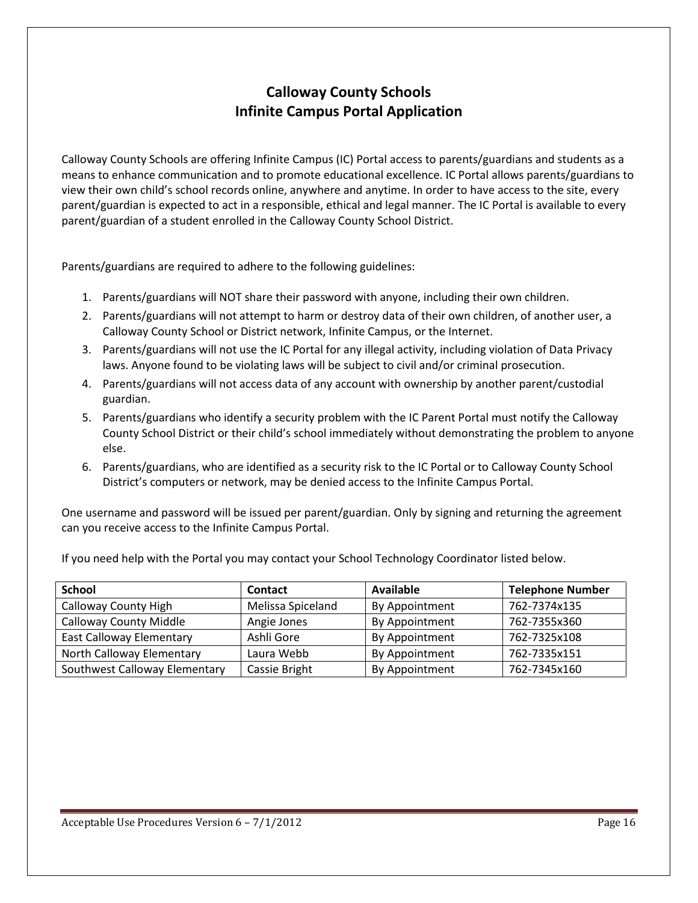# **Calloway County Schools Infinite Campus Portal Application**

Calloway County Schools are offering Infinite Campus (IC) Portal access to parents/guardians and students as a means to enhance communication and to promote educational excellence. IC Portal allows parents/guardians to view their own child's school records online, anywhere and anytime. In order to have access to the site, every parent/guardian is expected to act in a responsible, ethical and legal manner. The IC Portal is available to every parent/guardian of a student enrolled in the Calloway County School District.

Parents/guardians are required to adhere to the following guidelines:

- 1. Parents/guardians will NOT share their password with anyone, including their own children.
- 2. Parents/guardians will not attempt to harm or destroy data of their own children, of another user, a Calloway County School or District network, Infinite Campus, or the Internet.
- 3. Parents/guardians will not use the IC Portal for any illegal activity, including violation of Data Privacy laws. Anyone found to be violating laws will be subject to civil and/or criminal prosecution.
- 4. Parents/guardians will not access data of any account with ownership by another parent/custodial guardian.
- 5. Parents/guardians who identify a security problem with the IC Parent Portal must notify the Calloway County School District or their child's school immediately without demonstrating the problem to anyone else.
- 6. Parents/guardians, who are identified as a security risk to the IC Portal or to Calloway County School District's computers or network, may be denied access to the Infinite Campus Portal.

One username and password will be issued per parent/guardian. Only by signing and returning the agreement can you receive access to the Infinite Campus Portal.

| <b>School</b>                   | <b>Contact</b>       | <b>Available</b> | <b>Telephone Number</b> |
|---------------------------------|----------------------|------------------|-------------------------|
| <b>Calloway County High</b>     | Melissa Spiceland    | By Appointment   | 762-7374x135            |
| <b>Calloway County Middle</b>   | Angie Jones          | By Appointment   | 762-7355x360            |
| <b>East Calloway Elementary</b> | Ashli Gore           | By Appointment   | 762-7325x108            |
| North Calloway Elementary       | Laura Webb           | By Appointment   | 762-7335x151            |
| Southwest Calloway Elementary   | <b>Cassie Bright</b> | By Appointment   | 762-7345x160            |

If you need help with the Portal you may contact your School Technology Coordinator listed below.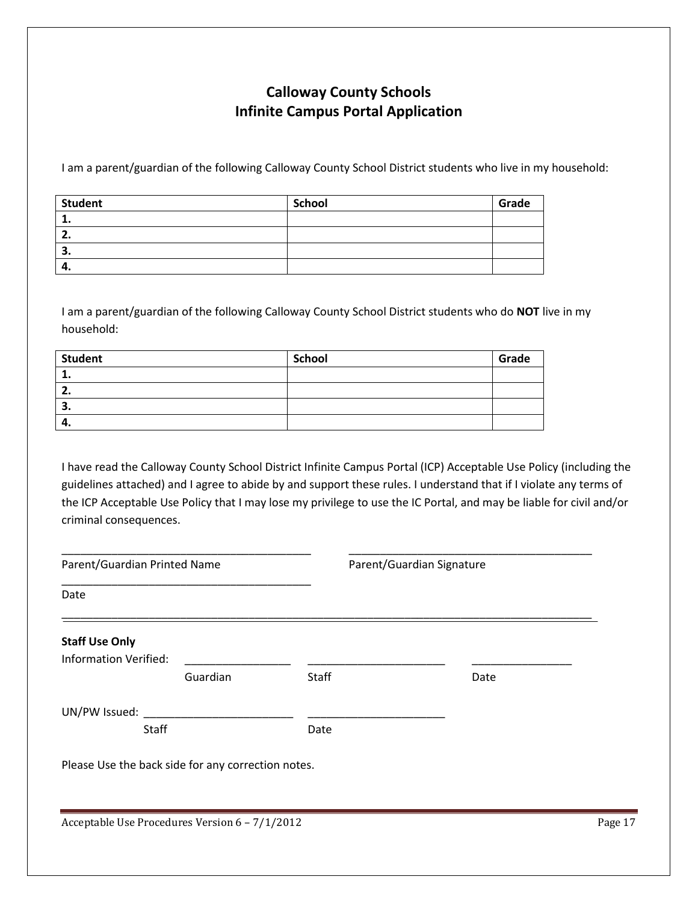# **Calloway County Schools Infinite Campus Portal Application**

I am a parent/guardian of the following Calloway County School District students who live in my household:

| <b>Student</b> | <b>School</b> | Grade |
|----------------|---------------|-------|
|                |               |       |
|                |               |       |
| э.             |               |       |
| 4.             |               |       |

I am a parent/guardian of the following Calloway County School District students who do **NOT** live in my household:

| <b>Student</b> | <b>School</b> | Grade |
|----------------|---------------|-------|
|                |               |       |
| <u>.</u>       |               |       |
| З.             |               |       |
| -4.            |               |       |

I have read the Calloway County School District Infinite Campus Portal (ICP) Acceptable Use Policy (including the guidelines attached) and I agree to abide by and support these rules. I understand that if I violate any terms of the ICP Acceptable Use Policy that I may lose my privilege to use the IC Portal, and may be liable for civil and/or criminal consequences.

| Parent/Guardian Printed Name                       |          |       | Parent/Guardian Signature |         |
|----------------------------------------------------|----------|-------|---------------------------|---------|
| Date                                               |          |       |                           |         |
| <b>Staff Use Only</b>                              |          |       |                           |         |
| <b>Information Verified:</b>                       | Guardian | Staff | Date                      |         |
| UN/PW Issued:<br><b>Staff</b>                      |          | Date  |                           |         |
| Please Use the back side for any correction notes. |          |       |                           |         |
|                                                    |          |       |                           |         |
| Acceptable Use Procedures Version 6 - 7/1/2012     |          |       |                           | Page 17 |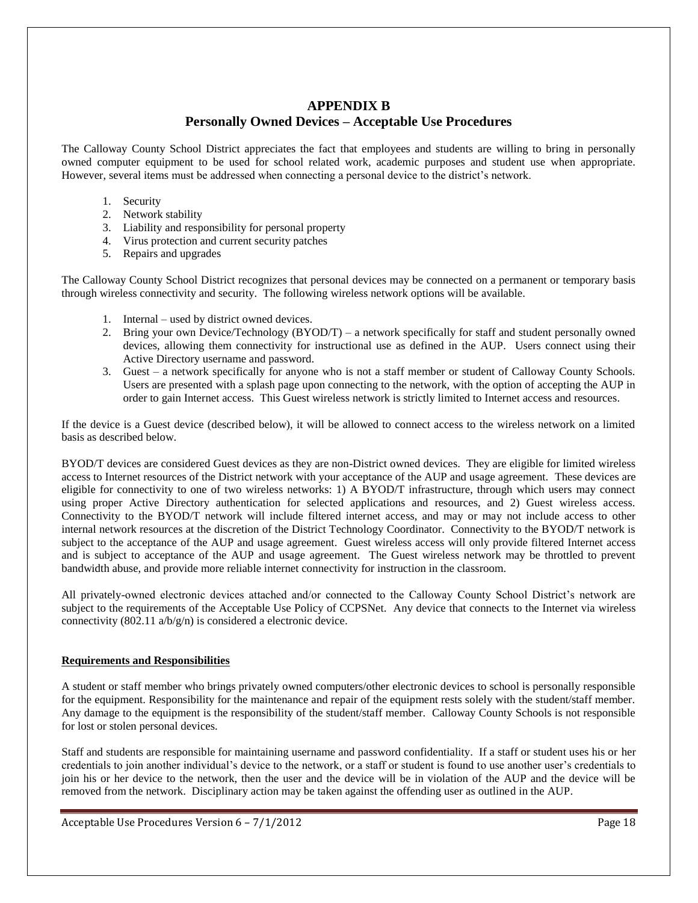## **APPENDIX B**

## **Personally Owned Devices – Acceptable Use Procedures**

The Calloway County School District appreciates the fact that employees and students are willing to bring in personally owned computer equipment to be used for school related work, academic purposes and student use when appropriate. However, several items must be addressed when connecting a personal device to the district's network.

- 1. Security
- 2. Network stability
- 3. Liability and responsibility for personal property
- 4. Virus protection and current security patches
- 5. Repairs and upgrades

The Calloway County School District recognizes that personal devices may be connected on a permanent or temporary basis through wireless connectivity and security. The following wireless network options will be available.

- 1. Internal used by district owned devices.
- 2. Bring your own Device/Technology (BYOD/T) a network specifically for staff and student personally owned devices, allowing them connectivity for instructional use as defined in the AUP. Users connect using their Active Directory username and password.
- 3. Guest a network specifically for anyone who is not a staff member or student of Calloway County Schools. Users are presented with a splash page upon connecting to the network, with the option of accepting the AUP in order to gain Internet access. This Guest wireless network is strictly limited to Internet access and resources.

If the device is a Guest device (described below), it will be allowed to connect access to the wireless network on a limited basis as described below.

BYOD/T devices are considered Guest devices as they are non-District owned devices. They are eligible for limited wireless access to Internet resources of the District network with your acceptance of the AUP and usage agreement. These devices are eligible for connectivity to one of two wireless networks: 1) A BYOD/T infrastructure, through which users may connect using proper Active Directory authentication for selected applications and resources, and 2) Guest wireless access. Connectivity to the BYOD/T network will include filtered internet access, and may or may not include access to other internal network resources at the discretion of the District Technology Coordinator. Connectivity to the BYOD/T network is subject to the acceptance of the AUP and usage agreement. Guest wireless access will only provide filtered Internet access and is subject to acceptance of the AUP and usage agreement. The Guest wireless network may be throttled to prevent bandwidth abuse, and provide more reliable internet connectivity for instruction in the classroom.

All privately-owned electronic devices attached and/or connected to the Calloway County School District's network are subject to the requirements of the Acceptable Use Policy of CCPSNet. Any device that connects to the Internet via wireless connectivity (802.11 a/b/g/n) is considered a electronic device.

#### **Requirements and Responsibilities**

A student or staff member who brings privately owned computers/other electronic devices to school is personally responsible for the equipment. Responsibility for the maintenance and repair of the equipment rests solely with the student/staff member. Any damage to the equipment is the responsibility of the student/staff member. Calloway County Schools is not responsible for lost or stolen personal devices.

Staff and students are responsible for maintaining username and password confidentiality. If a staff or student uses his or her credentials to join another individual's device to the network, or a staff or student is found to use another user's credentials to join his or her device to the network, then the user and the device will be in violation of the AUP and the device will be removed from the network. Disciplinary action may be taken against the offending user as outlined in the AUP.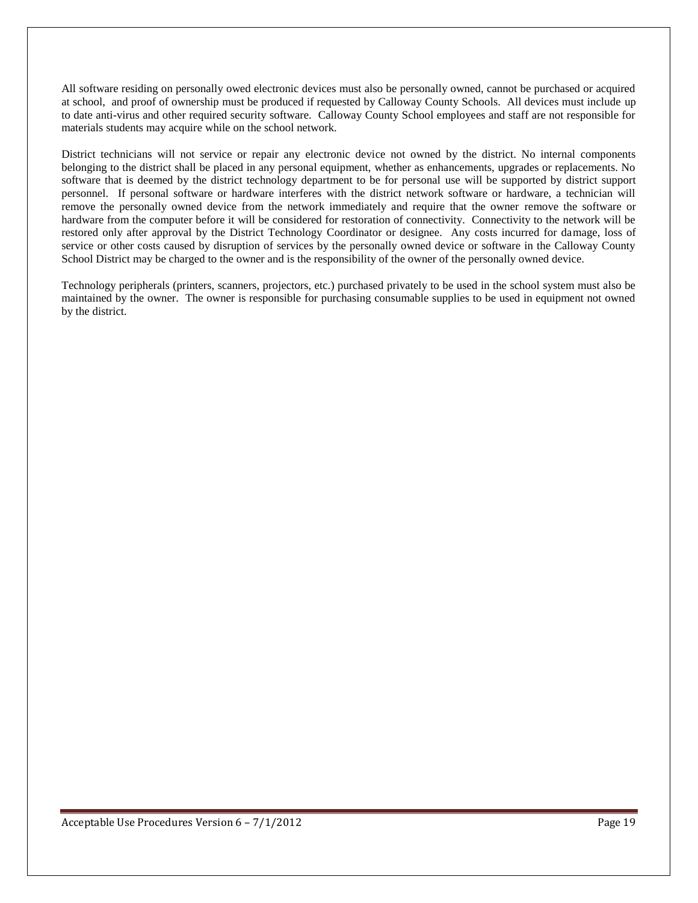All software residing on personally owed electronic devices must also be personally owned, cannot be purchased or acquired at school, and proof of ownership must be produced if requested by Calloway County Schools. All devices must include up to date anti-virus and other required security software. Calloway County School employees and staff are not responsible for materials students may acquire while on the school network.

District technicians will not service or repair any electronic device not owned by the district. No internal components belonging to the district shall be placed in any personal equipment, whether as enhancements, upgrades or replacements. No software that is deemed by the district technology department to be for personal use will be supported by district support personnel. If personal software or hardware interferes with the district network software or hardware, a technician will remove the personally owned device from the network immediately and require that the owner remove the software or hardware from the computer before it will be considered for restoration of connectivity. Connectivity to the network will be restored only after approval by the District Technology Coordinator or designee. Any costs incurred for damage, loss of service or other costs caused by disruption of services by the personally owned device or software in the Calloway County School District may be charged to the owner and is the responsibility of the owner of the personally owned device.

Technology peripherals (printers, scanners, projectors, etc.) purchased privately to be used in the school system must also be maintained by the owner. The owner is responsible for purchasing consumable supplies to be used in equipment not owned by the district.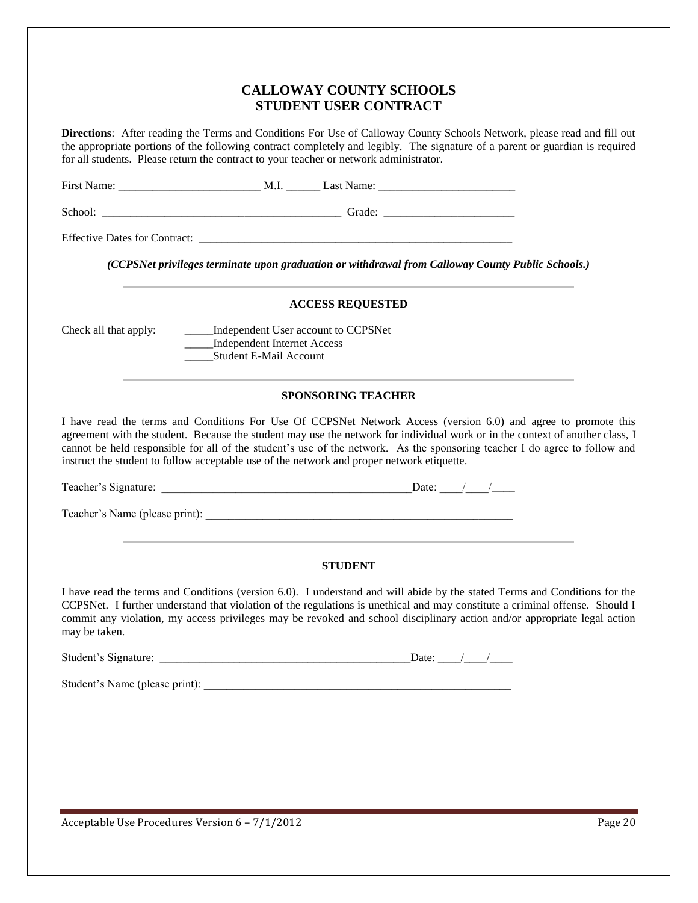## **CALLOWAY COUNTY SCHOOLS STUDENT USER CONTRACT**

**Directions**: After reading the Terms and Conditions For Use of Calloway County Schools Network, please read and fill out the appropriate portions of the following contract completely and legibly. The signature of a parent or guardian is required for all students. Please return the contract to your teacher or network administrator.

First Name: \_\_\_\_\_\_\_\_\_\_\_\_\_\_\_\_\_\_\_\_\_\_\_\_\_ M.I. \_\_\_\_\_\_ Last Name: \_\_\_\_\_\_\_\_\_\_\_\_\_\_\_\_\_\_\_\_\_\_\_\_

School: \_\_\_\_\_\_\_\_\_\_\_\_\_\_\_\_\_\_\_\_\_\_\_\_\_\_\_\_\_\_\_\_\_\_\_\_\_\_\_\_\_\_ Grade: \_\_\_\_\_\_\_\_\_\_\_\_\_\_\_\_\_\_\_\_\_\_\_

Effective Dates for Contract: \_\_\_\_\_\_\_\_\_\_\_\_\_\_\_\_\_\_\_\_\_\_\_\_\_\_\_\_\_\_\_\_\_\_\_\_\_\_\_\_\_\_\_\_\_\_\_\_\_\_\_\_\_\_\_

*(CCPSNet privileges terminate upon graduation or withdrawal from Calloway County Public Schools.)*

#### **ACCESS REQUESTED**

Check all that apply: \_\_\_\_\_Independent User account to CCPSNet \_\_\_\_\_Independent Internet Access \_\_\_\_\_Student E-Mail Account

#### **SPONSORING TEACHER**

I have read the terms and Conditions For Use Of CCPSNet Network Access (version 6.0) and agree to promote this agreement with the student. Because the student may use the network for individual work or in the context of another class, I cannot be held responsible for all of the student's use of the network. As the sponsoring teacher I do agree to follow and instruct the student to follow acceptable use of the network and proper network etiquette.

Teacher's Signature: \_\_\_\_\_\_\_\_\_\_\_\_\_\_\_\_\_\_\_\_\_\_\_\_\_\_\_\_\_\_\_\_\_\_\_\_\_\_\_\_\_\_\_\_Date: \_\_\_\_/\_\_\_\_/\_\_\_\_

Teacher's Name (please print):

#### **STUDENT**

I have read the terms and Conditions (version 6.0). I understand and will abide by the stated Terms and Conditions for the CCPSNet. I further understand that violation of the regulations is unethical and may constitute a criminal offense. Should I commit any violation, my access privileges may be revoked and school disciplinary action and/or appropriate legal action may be taken.

Student's Signature: \_\_\_\_\_\_\_\_\_\_\_\_\_\_\_\_\_\_\_\_\_\_\_\_\_\_\_\_\_\_\_\_\_\_\_\_\_\_\_\_\_\_\_\_Date: \_\_\_\_/\_\_\_\_/\_\_\_\_

Student's Name (please print):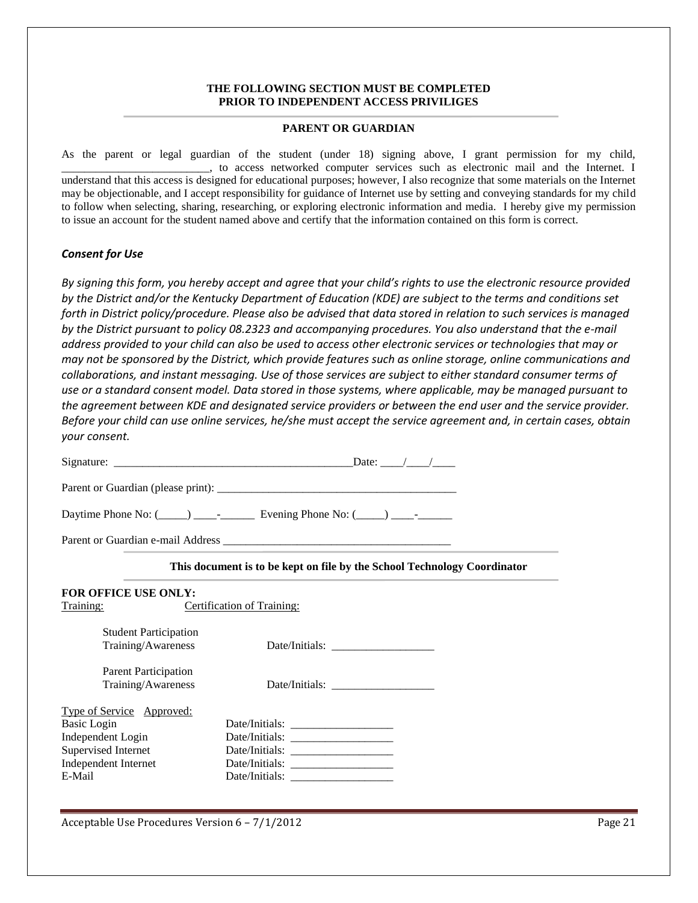#### **THE FOLLOWING SECTION MUST BE COMPLETED PRIOR TO INDEPENDENT ACCESS PRIVILIGES**

#### **PARENT OR GUARDIAN**

As the parent or legal guardian of the student (under 18) signing above, I grant permission for my child, \_\_\_\_\_\_\_\_\_\_\_\_\_\_\_\_\_\_\_\_\_\_\_\_\_\_, to access networked computer services such as electronic mail and the Internet. I understand that this access is designed for educational purposes; however, I also recognize that some materials on the Internet may be objectionable, and I accept responsibility for guidance of Internet use by setting and conveying standards for my child to follow when selecting, sharing, researching, or exploring electronic information and media. I hereby give my permission to issue an account for the student named above and certify that the information contained on this form is correct.

#### *Consent for Use*

*By signing this form, you hereby accept and agree that your child's rights to use the electronic resource provided by the District and/or the Kentucky Department of Education (KDE) are subject to the terms and conditions set forth in District policy/procedure. Please also be advised that data stored in relation to such services is managed by the District pursuant to policy 08.2323 and accompanying procedures. You also understand that the e-mail address provided to your child can also be used to access other electronic services or technologies that may or may not be sponsored by the District, which provide features such as online storage, online communications and collaborations, and instant messaging. Use of those services are subject to either standard consumer terms of use or a standard consent model. Data stored in those systems, where applicable, may be managed pursuant to the agreement between KDE and designated service providers or between the end user and the service provider. Before your child can use online services, he/she must accept the service agreement and, in certain cases, obtain your consent.*

|                                                                                                                                      | This document is to be kept on file by the School Technology Coordinator |
|--------------------------------------------------------------------------------------------------------------------------------------|--------------------------------------------------------------------------|
| <b>FOR OFFICE USE ONLY:</b><br>Training:                                                                                             | <b>Certification of Training:</b>                                        |
| <b>Student Participation</b><br>Training/Awareness                                                                                   |                                                                          |
| <b>Parent Participation</b><br>Training/Awareness                                                                                    |                                                                          |
| <b>Type of Service Approved:</b><br><b>Basic Login</b><br>Independent Login<br>Supervised Internet<br>Independent Internet<br>E-Mail |                                                                          |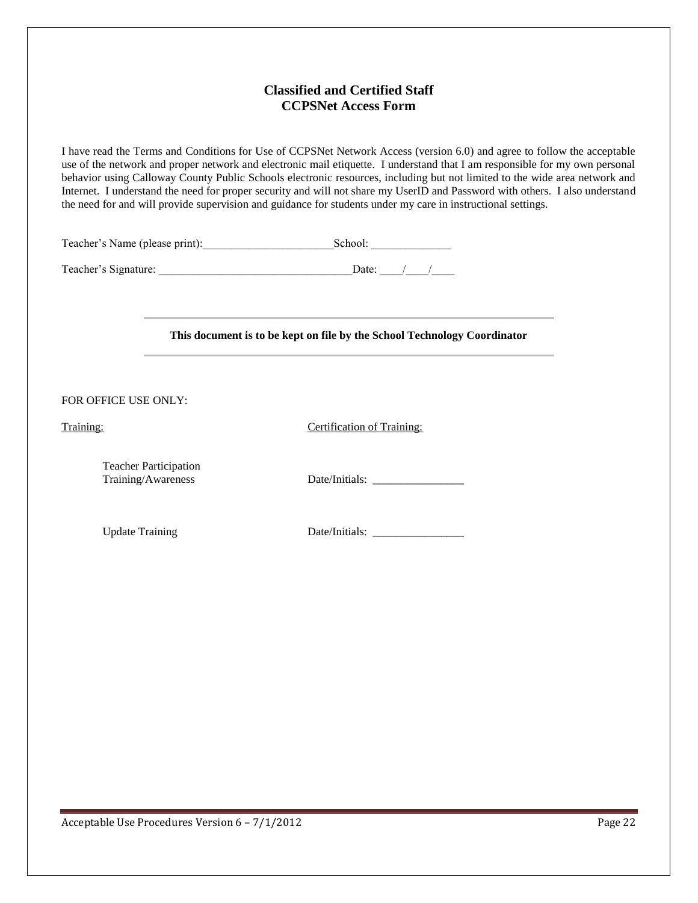## **Classified and Certified Staff CCPSNet Access Form**

I have read the Terms and Conditions for Use of CCPSNet Network Access (version 6.0) and agree to follow the acceptable use of the network and proper network and electronic mail etiquette. I understand that I am responsible for my own personal behavior using Calloway County Public Schools electronic resources, including but not limited to the wide area network and Internet. I understand the need for proper security and will not share my UserID and Password with others. I also understand the need for and will provide supervision and guidance for students under my care in instructional settings.

Teacher's Name (please print):\_\_\_\_\_\_\_\_\_\_\_\_\_\_\_\_\_\_\_\_\_\_\_School: \_\_\_\_\_\_\_\_\_\_\_\_\_\_

Teacher's Signature: \_\_\_\_\_\_\_\_\_\_\_\_\_\_\_\_\_\_\_\_\_\_\_\_\_\_\_\_\_\_\_\_\_\_Date: \_\_\_\_/\_\_\_\_/\_\_\_\_

#### **This document is to be kept on file by the School Technology Coordinator**

FOR OFFICE USE ONLY:

Training: Certification of Training:

Teacher Participation

Training/Awareness Date/Initials: \_\_\_\_\_\_\_\_\_\_\_\_\_\_\_\_

Update Training Date/Initials: \_\_\_\_\_\_\_\_\_\_\_\_\_\_\_\_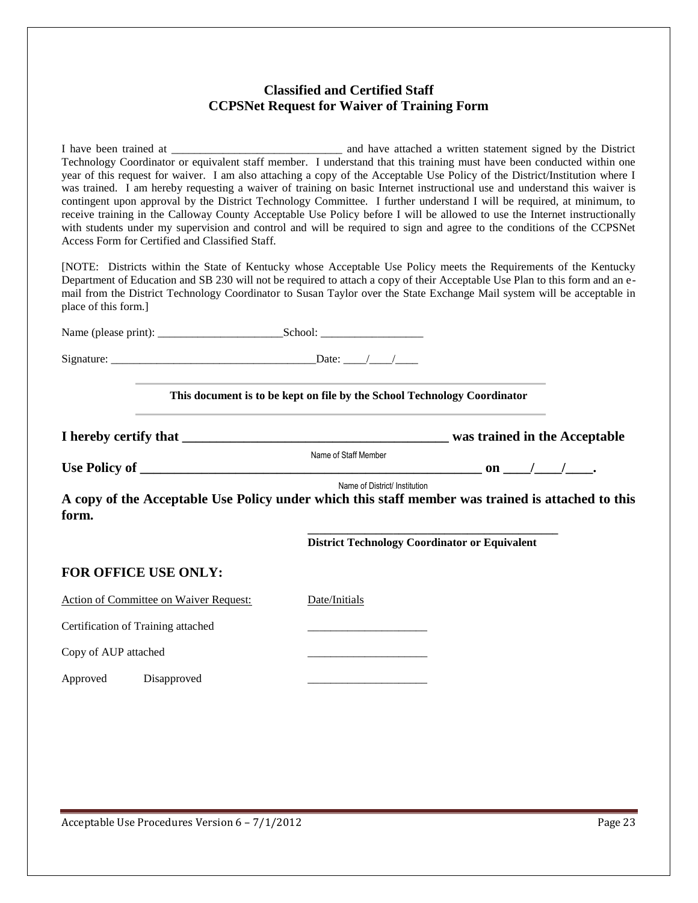## **Classified and Certified Staff CCPSNet Request for Waiver of Training Form**

I have been trained at \_\_\_\_\_\_\_\_\_\_\_\_\_\_\_\_\_\_\_\_\_\_\_\_\_\_\_\_\_\_ and have attached a written statement signed by the District Technology Coordinator or equivalent staff member. I understand that this training must have been conducted within one year of this request for waiver. I am also attaching a copy of the Acceptable Use Policy of the District/Institution where I was trained. I am hereby requesting a waiver of training on basic Internet instructional use and understand this waiver is contingent upon approval by the District Technology Committee. I further understand I will be required, at minimum, to receive training in the Calloway County Acceptable Use Policy before I will be allowed to use the Internet instructionally with students under my supervision and control and will be required to sign and agree to the conditions of the CCPSNet Access Form for Certified and Classified Staff.

[NOTE: Districts within the State of Kentucky whose Acceptable Use Policy meets the Requirements of the Kentucky Department of Education and SB 230 will not be required to attach a copy of their Acceptable Use Plan to this form and an email from the District Technology Coordinator to Susan Taylor over the State Exchange Mail system will be acceptable in place of this form.]

|                                    |                                               | the contract of the contract of the contract of the contract of the contract of the contract of the contract of<br>This document is to be kept on file by the School Technology Coordinator<br>and the control of the control of the control of the control of the control of the control of the control of the |                                                                                                   |
|------------------------------------|-----------------------------------------------|-----------------------------------------------------------------------------------------------------------------------------------------------------------------------------------------------------------------------------------------------------------------------------------------------------------------|---------------------------------------------------------------------------------------------------|
|                                    |                                               |                                                                                                                                                                                                                                                                                                                 |                                                                                                   |
|                                    |                                               | Name of Staff Member                                                                                                                                                                                                                                                                                            |                                                                                                   |
|                                    |                                               |                                                                                                                                                                                                                                                                                                                 |                                                                                                   |
| form.                              |                                               | Name of District/ Institution                                                                                                                                                                                                                                                                                   | A copy of the Acceptable Use Policy under which this staff member was trained is attached to this |
|                                    |                                               | <b>District Technology Coordinator or Equivalent</b>                                                                                                                                                                                                                                                            |                                                                                                   |
| FOR OFFICE USE ONLY:               |                                               |                                                                                                                                                                                                                                                                                                                 |                                                                                                   |
|                                    | <b>Action of Committee on Waiver Request:</b> | Date/Initials                                                                                                                                                                                                                                                                                                   |                                                                                                   |
| Certification of Training attached |                                               | the contract of the contract of the contract of the contract of                                                                                                                                                                                                                                                 |                                                                                                   |
| Copy of AUP attached               |                                               |                                                                                                                                                                                                                                                                                                                 |                                                                                                   |
| Approved Disapproved               |                                               | the control of the control of the control of the control of                                                                                                                                                                                                                                                     |                                                                                                   |
|                                    |                                               |                                                                                                                                                                                                                                                                                                                 |                                                                                                   |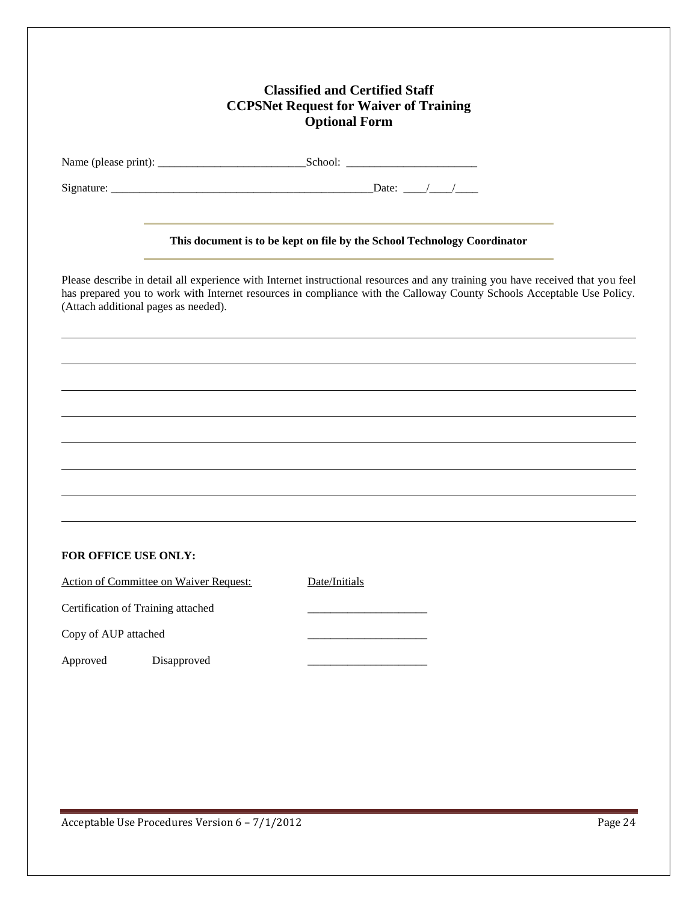## **Classified and Certified Staff CCPSNet Request for Waiver of Training Optional Form**

| Name (please print): |  |  |
|----------------------|--|--|

Name (please print): \_\_\_\_\_\_\_\_\_\_\_\_\_\_\_\_\_\_\_\_\_\_\_\_\_\_School: \_\_\_\_\_\_\_\_\_\_\_\_\_\_\_\_\_\_\_\_\_\_\_

Signature: \_\_\_\_\_\_\_\_\_\_\_\_\_\_\_\_\_\_\_\_\_\_\_\_\_\_\_\_\_\_\_\_\_\_\_\_\_\_\_\_\_\_\_\_\_\_Date: \_\_\_\_/\_\_\_\_/\_\_\_\_

#### **This document is to be kept on file by the School Technology Coordinator**

Please describe in detail all experience with Internet instructional resources and any training you have received that you feel has prepared you to work with Internet resources in compliance with the Calloway County Schools Acceptable Use Policy. (Attach additional pages as needed).

#### **FOR OFFICE USE ONLY:**

Action of Committee on Waiver Request: Date/Initials Certification of Training attached \_\_\_\_\_\_\_\_\_\_\_\_\_\_\_\_\_\_\_\_\_ Copy of AUP attached Approved Disapproved